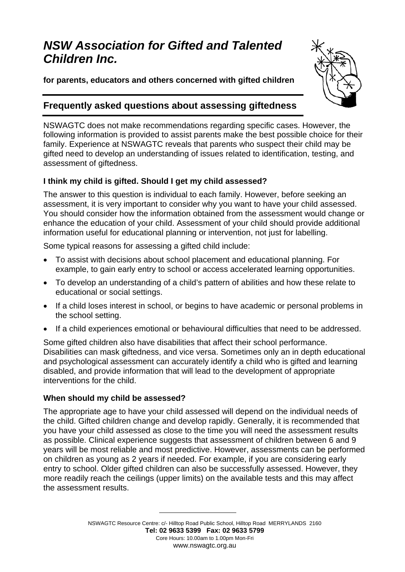# *NSW Association for Gifted and Talented Children Inc.*

**for parents, educators and others concerned with gifted children**



# **Frequently asked questions about assessing giftedness**

NSWAGTC does not make recommendations regarding specific cases. However, the following information is provided to assist parents make the best possible choice for their family. Experience at NSWAGTC reveals that parents who suspect their child may be gifted need to develop an understanding of issues related to identification, testing, and assessment of giftedness.

# **I think my child is gifted. Should I get my child assessed?**

The answer to this question is individual to each family. However, before seeking an assessment, it is very important to consider why you want to have your child assessed. You should consider how the information obtained from the assessment would change or enhance the education of your child. Assessment of your child should provide additional information useful for educational planning or intervention, not just for labelling.

Some typical reasons for assessing a gifted child include:

- To assist with decisions about school placement and educational planning. For example, to gain early entry to school or access accelerated learning opportunities.
- To develop an understanding of a child's pattern of abilities and how these relate to educational or social settings.
- If a child loses interest in school, or begins to have academic or personal problems in the school setting.
- If a child experiences emotional or behavioural difficulties that need to be addressed.

Some gifted children also have disabilities that affect their school performance. Disabilities can mask giftedness, and vice versa. Sometimes only an in depth educational and psychological assessment can accurately identify a child who is gifted and learning disabled, and provide information that will lead to the development of appropriate interventions for the child.

# **When should my child be assessed?**

The appropriate age to have your child assessed will depend on the individual needs of the child. Gifted children change and develop rapidly. Generally, it is recommended that you have your child assessed as close to the time you will need the assessment results as possible. Clinical experience suggests that assessment of children between 6 and 9 years will be most reliable and most predictive. However, assessments can be performed on children as young as 2 years if needed. For example, if you are considering early entry to school. Older gifted children can also be successfully assessed. However, they more readily reach the ceilings (upper limits) on the available tests and this may affect the assessment results.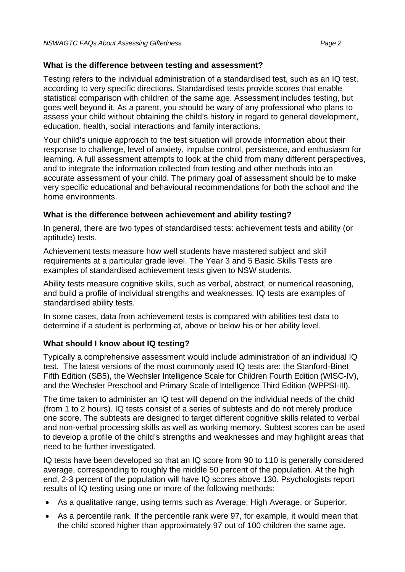#### **What is the difference between testing and assessment?**

Testing refers to the individual administration of a standardised test, such as an IQ test, according to very specific directions. Standardised tests provide scores that enable statistical comparison with children of the same age. Assessment includes testing, but goes well beyond it. As a parent, you should be wary of any professional who plans to assess your child without obtaining the child's history in regard to general development, education, health, social interactions and family interactions.

Your child's unique approach to the test situation will provide information about their response to challenge, level of anxiety, impulse control, persistence, and enthusiasm for learning. A full assessment attempts to look at the child from many different perspectives, and to integrate the information collected from testing and other methods into an accurate assessment of your child. The primary goal of assessment should be to make very specific educational and behavioural recommendations for both the school and the home environments.

# **What is the difference between achievement and ability testing?**

In general, there are two types of standardised tests: achievement tests and ability (or aptitude) tests.

Achievement tests measure how well students have mastered subject and skill requirements at a particular grade level. The Year 3 and 5 Basic Skills Tests are examples of standardised achievement tests given to NSW students.

Ability tests measure cognitive skills, such as verbal, abstract, or numerical reasoning, and build a profile of individual strengths and weaknesses. IQ tests are examples of standardised ability tests.

In some cases, data from achievement tests is compared with abilities test data to determine if a student is performing at, above or below his or her ability level.

# **What should I know about IQ testing?**

Typically a comprehensive assessment would include administration of an individual IQ test. The latest versions of the most commonly used IQ tests are: the Stanford-Binet Fifth Edition (SB5), the Wechsler Intelligence Scale for Children Fourth Edition (WISC-IV), and the Wechsler Preschool and Primary Scale of Intelligence Third Edition (WPPSI-III).

The time taken to administer an IQ test will depend on the individual needs of the child (from 1 to 2 hours). IQ tests consist of a series of subtests and do not merely produce one score. The subtests are designed to target different cognitive skills related to verbal and non-verbal processing skills as well as working memory. Subtest scores can be used to develop a profile of the child's strengths and weaknesses and may highlight areas that need to be further investigated.

IQ tests have been developed so that an IQ score from 90 to 110 is generally considered average, corresponding to roughly the middle 50 percent of the population. At the high end, 2-3 percent of the population will have IQ scores above 130. Psychologists report results of IQ testing using one or more of the following methods:

- As a qualitative range, using terms such as Average, High Average, or Superior.
- As a percentile rank. If the percentile rank were 97, for example, it would mean that the child scored higher than approximately 97 out of 100 children the same age.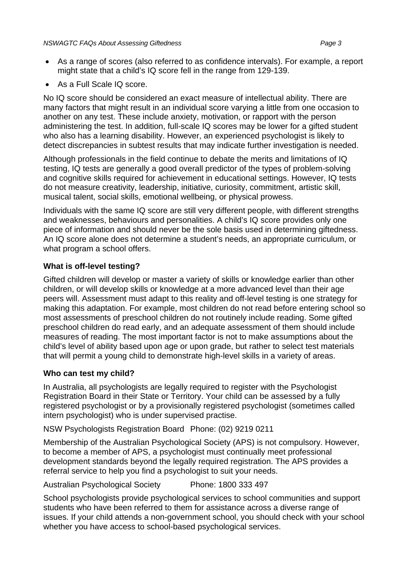- As a range of scores (also referred to as confidence intervals). For example, a report might state that a child's IQ score fell in the range from 129-139.
- As a Full Scale IQ score.

No IQ score should be considered an exact measure of intellectual ability. There are many factors that might result in an individual score varying a little from one occasion to another on any test. These include anxiety, motivation, or rapport with the person administering the test. In addition, full-scale IQ scores may be lower for a gifted student who also has a learning disability. However, an experienced psychologist is likely to detect discrepancies in subtest results that may indicate further investigation is needed.

Although professionals in the field continue to debate the merits and limitations of IQ testing, IQ tests are generally a good overall predictor of the types of problem-solving and cognitive skills required for achievement in educational settings. However, IQ tests do not measure creativity, leadership, initiative, curiosity, commitment, artistic skill, musical talent, social skills, emotional wellbeing, or physical prowess.

Individuals with the same IQ score are still very different people, with different strengths and weaknesses, behaviours and personalities. A child's IQ score provides only one piece of information and should never be the sole basis used in determining giftedness. An IQ score alone does not determine a student's needs, an appropriate curriculum, or what program a school offers.

# **What is off-level testing?**

Gifted children will develop or master a variety of skills or knowledge earlier than other children, or will develop skills or knowledge at a more advanced level than their age peers will. Assessment must adapt to this reality and off-level testing is one strategy for making this adaptation. For example, most children do not read before entering school so most assessments of preschool children do not routinely include reading. Some gifted preschool children do read early, and an adequate assessment of them should include measures of reading. The most important factor is not to make assumptions about the child's level of ability based upon age or upon grade, but rather to select test materials that will permit a young child to demonstrate high-level skills in a variety of areas.

# **Who can test my child?**

In Australia, all psychologists are legally required to register with the Psychologist Registration Board in their State or Territory. Your child can be assessed by a fully registered psychologist or by a provisionally registered psychologist (sometimes called intern psychologist) who is under supervised practise.

NSW Psychologists Registration Board Phone: (02) 9219 0211

Membership of the Australian Psychological Society (APS) is not compulsory. However, to become a member of APS, a psychologist must continually meet professional development standards beyond the legally required registration. The APS provides a referral service to help you find a psychologist to suit your needs.

Australian Psychological Society Phone: 1800 333 497

School psychologists provide psychological services to school communities and support students who have been referred to them for assistance across a diverse range of issues. If your child attends a non-government school, you should check with your school whether you have access to school-based psychological services.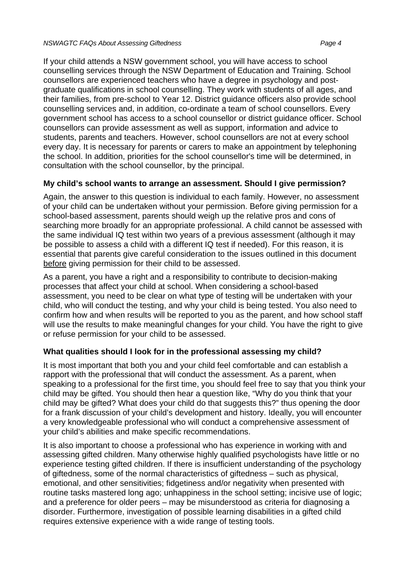If your child attends a NSW government school, you will have access to school counselling services through the NSW Department of Education and Training. School counsellors are experienced teachers who have a degree in psychology and postgraduate qualifications in school counselling. They work with students of all ages, and their families, from pre-school to Year 12. District guidance officers also provide school counselling services and, in addition, co-ordinate a team of school counsellors. Every government school has access to a school counsellor or district guidance officer. School counsellors can provide assessment as well as support, information and advice to students, parents and teachers. However, school counsellors are not at every school every day. It is necessary for parents or carers to make an appointment by telephoning the school. In addition, priorities for the school counsellor's time will be determined, in consultation with the school counsellor, by the principal.

# **My child's school wants to arrange an assessment. Should I give permission?**

Again, the answer to this question is individual to each family. However, no assessment of your child can be undertaken without your permission. Before giving permission for a school-based assessment, parents should weigh up the relative pros and cons of searching more broadly for an appropriate professional. A child cannot be assessed with the same individual IQ test within two years of a previous assessment (although it may be possible to assess a child with a different IQ test if needed). For this reason, it is essential that parents give careful consideration to the issues outlined in this document before giving permission for their child to be assessed.

As a parent, you have a right and a responsibility to contribute to decision-making processes that affect your child at school. When considering a school-based assessment, you need to be clear on what type of testing will be undertaken with your child, who will conduct the testing, and why your child is being tested. You also need to confirm how and when results will be reported to you as the parent, and how school staff will use the results to make meaningful changes for your child. You have the right to give or refuse permission for your child to be assessed.

# **What qualities should I look for in the professional assessing my child?**

It is most important that both you and your child feel comfortable and can establish a rapport with the professional that will conduct the assessment. As a parent, when speaking to a professional for the first time, you should feel free to say that you think your child may be gifted. You should then hear a question like, "Why do you think that your child may be gifted? What does your child do that suggests this?" thus opening the door for a frank discussion of your child's development and history. Ideally, you will encounter a very knowledgeable professional who will conduct a comprehensive assessment of your child's abilities and make specific recommendations.

It is also important to choose a professional who has experience in working with and assessing gifted children. Many otherwise highly qualified psychologists have little or no experience testing gifted children. If there is insufficient understanding of the psychology of giftedness, some of the normal characteristics of giftedness – such as physical, emotional, and other sensitivities; fidgetiness and/or negativity when presented with routine tasks mastered long ago; unhappiness in the school setting; incisive use of logic; and a preference for older peers – may be misunderstood as criteria for diagnosing a disorder. Furthermore, investigation of possible learning disabilities in a gifted child requires extensive experience with a wide range of testing tools.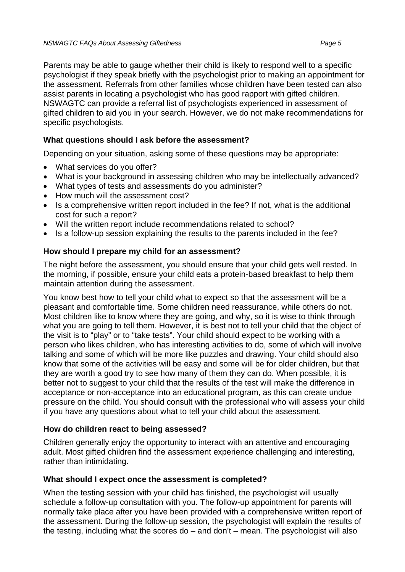Parents may be able to gauge whether their child is likely to respond well to a specific psychologist if they speak briefly with the psychologist prior to making an appointment for the assessment. Referrals from other families whose children have been tested can also assist parents in locating a psychologist who has good rapport with gifted children. NSWAGTC can provide a referral list of psychologists experienced in assessment of gifted children to aid you in your search. However, we do not make recommendations for specific psychologists.

# **What questions should I ask before the assessment?**

Depending on your situation, asking some of these questions may be appropriate:

- What services do you offer?
- What is your background in assessing children who may be intellectually advanced?
- What types of tests and assessments do you administer?
- How much will the assessment cost?
- Is a comprehensive written report included in the fee? If not, what is the additional cost for such a report?
- Will the written report include recommendations related to school?
- Is a follow-up session explaining the results to the parents included in the fee?

#### **How should I prepare my child for an assessment?**

The night before the assessment, you should ensure that your child gets well rested. In the morning, if possible, ensure your child eats a protein-based breakfast to help them maintain attention during the assessment.

You know best how to tell your child what to expect so that the assessment will be a pleasant and comfortable time. Some children need reassurance, while others do not. Most children like to know where they are going, and why, so it is wise to think through what you are going to tell them. However, it is best not to tell your child that the object of the visit is to "play" or to "take tests". Your child should expect to be working with a person who likes children, who has interesting activities to do, some of which will involve talking and some of which will be more like puzzles and drawing. Your child should also know that some of the activities will be easy and some will be for older children, but that they are worth a good try to see how many of them they can do. When possible, it is better not to suggest to your child that the results of the test will make the difference in acceptance or non-acceptance into an educational program, as this can create undue pressure on the child. You should consult with the professional who will assess your child if you have any questions about what to tell your child about the assessment.

# **How do children react to being assessed?**

Children generally enjoy the opportunity to interact with an attentive and encouraging adult. Most gifted children find the assessment experience challenging and interesting, rather than intimidating.

# **What should I expect once the assessment is completed?**

When the testing session with your child has finished, the psychologist will usually schedule a follow-up consultation with you. The follow-up appointment for parents will normally take place after you have been provided with a comprehensive written report of the assessment. During the follow-up session, the psychologist will explain the results of the testing, including what the scores do – and don't – mean. The psychologist will also